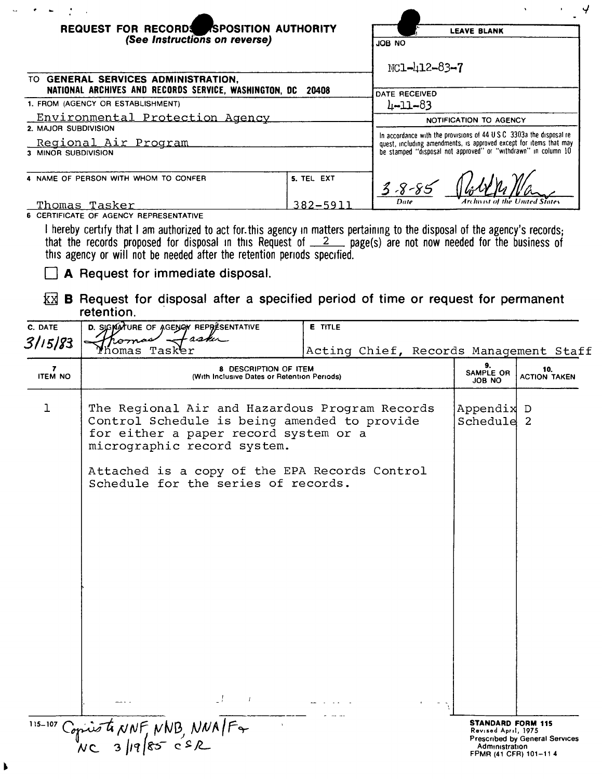| REQUEST FOR RECORDS SPOSITION AUTHORITY                                                                                                                                                                                                                                                                                 |                | <b>LEAVE BLANK</b>                                                                                                                                                                                         |  |
|-------------------------------------------------------------------------------------------------------------------------------------------------------------------------------------------------------------------------------------------------------------------------------------------------------------------------|----------------|------------------------------------------------------------------------------------------------------------------------------------------------------------------------------------------------------------|--|
| (See Instructions on reverse)                                                                                                                                                                                                                                                                                           |                | JOB NO                                                                                                                                                                                                     |  |
|                                                                                                                                                                                                                                                                                                                         |                | $NC1 - 412 - 83 - 7$                                                                                                                                                                                       |  |
| TO GENERAL SERVICES ADMINISTRATION,<br>NATIONAL ARCHIVES AND RECORDS SERVICE, WASHINGTON, DC                                                                                                                                                                                                                            | 20408          |                                                                                                                                                                                                            |  |
| 1. FROM (AGENCY OR ESTABLISHMENT)                                                                                                                                                                                                                                                                                       |                | DATE RECEIVED<br>$4 - 11 - 83$                                                                                                                                                                             |  |
| Environmental Protection Agency                                                                                                                                                                                                                                                                                         |                |                                                                                                                                                                                                            |  |
| 2. MAJOR SUBDIVISION                                                                                                                                                                                                                                                                                                    |                | NOTIFICATION TO AGENCY                                                                                                                                                                                     |  |
| Regional Air Program                                                                                                                                                                                                                                                                                                    |                | In accordance with the provisions of 44 USC 3303a the disposal re-<br>quest, including amendments, is approved except for items that may<br>be stamped "disposal not approved" or "withdrawn" in column 10 |  |
| 3 MINOR SUBDIVISION                                                                                                                                                                                                                                                                                                     |                |                                                                                                                                                                                                            |  |
| 4 NAME OF PERSON WITH WHOM TO CONFER                                                                                                                                                                                                                                                                                    | 5. TEL EXT     | $3 - 8 - 85$                                                                                                                                                                                               |  |
| Thomas Tasker                                                                                                                                                                                                                                                                                                           | $382 - 591$    | Date                                                                                                                                                                                                       |  |
| 6 CERTIFICATE OF AGENCY REPRESENTATIVE                                                                                                                                                                                                                                                                                  |                |                                                                                                                                                                                                            |  |
| I hereby certify that I am authorized to act for this agency in matters pertaining to the disposal of the agency's records;<br>that the records proposed for disposal in this Request of $2$ page(s) are not now needed for the business of<br>this agency or will not be needed after the retention periods specified. |                |                                                                                                                                                                                                            |  |
| A Request for immediate disposal.                                                                                                                                                                                                                                                                                       |                |                                                                                                                                                                                                            |  |
| kх<br>retention.                                                                                                                                                                                                                                                                                                        |                | <b>B</b> Request for disposal after a specified period of time or request for permanent                                                                                                                    |  |
| D. SIGNATURE OF AGENOT REPRESENTATIVE<br>C. DATE                                                                                                                                                                                                                                                                        | <b>E</b> TITLE |                                                                                                                                                                                                            |  |
| castu<br>Tromas<br>3115183                                                                                                                                                                                                                                                                                              |                |                                                                                                                                                                                                            |  |

| 3/15/83        | taske                                                                                                                                                                  |                                        |                                                 |                                |
|----------------|------------------------------------------------------------------------------------------------------------------------------------------------------------------------|----------------------------------------|-------------------------------------------------|--------------------------------|
| 7              | homas Tasker<br>8 DESCRIPTION OF ITEM                                                                                                                                  | Acting Chief, Records Management Staff | 9.                                              | 10.                            |
| <b>ITEM NO</b> | SAMPLE OR<br><b>ACTION TAKEN</b><br>(With Inclusive Dates or Retention Periods)<br><b>JOB NO</b>                                                                       |                                        |                                                 |                                |
| ı              | The Regional Air and Hazardous Program Records<br>Control Schedule is being amended to provide<br>for either a paper record system or a<br>micrographic record system. |                                        | Appendix D<br>Schedule 2                        |                                |
|                | Attached is a copy of the EPA Records Control<br>Schedule for the series of records.                                                                                   |                                        |                                                 |                                |
|                |                                                                                                                                                                        |                                        |                                                 |                                |
|                |                                                                                                                                                                        |                                        |                                                 |                                |
|                |                                                                                                                                                                        |                                        |                                                 |                                |
|                |                                                                                                                                                                        |                                        |                                                 |                                |
|                |                                                                                                                                                                        |                                        |                                                 |                                |
|                |                                                                                                                                                                        |                                        |                                                 |                                |
|                |                                                                                                                                                                        |                                        |                                                 |                                |
|                |                                                                                                                                                                        |                                        |                                                 |                                |
|                | - F<br>$\sim$ 100 $\pm$ 100 $\pm$                                                                                                                                      |                                        |                                                 |                                |
| $115 - 107$    | Copies to NNF NNB, NNA/F+                                                                                                                                              |                                        | <b>STANDARD FORM 115</b><br>Revised April, 1975 |                                |
|                |                                                                                                                                                                        |                                        | Administration<br>FPMR (41 CFR) 101-114         | Prescribed by General Services |

 $\hat{\mathbf{u}}$